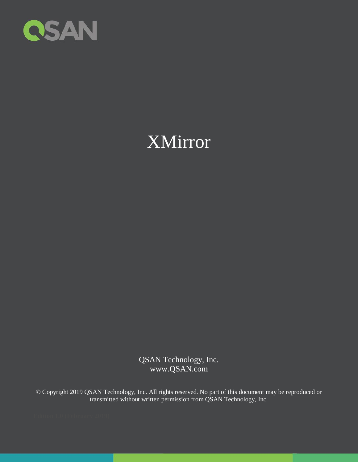

# XMirror

QSAN Technology, Inc. www.QSAN.com

© Copyright 2019 QSAN Technology, Inc. All rights reserved. No part of this document may be reproduced or transmitted without written permission from QSAN Technology, Inc.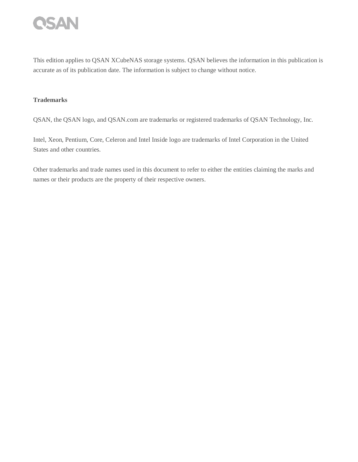

This edition applies to QSAN XCubeNAS storage systems. QSAN believes the information in this publication is accurate as of its publication date. The information is subject to change without notice.

#### **Trademarks**

QSAN, the QSAN logo, and QSAN.com are trademarks or registered trademarks of QSAN Technology, Inc.

Intel, Xeon, Pentium, Core, Celeron and Intel Inside logo are trademarks of Intel Corporation in the United States and other countries.

Other trademarks and trade names used in this document to refer to either the entities claiming the marks and names or their products are the property of their respective owners.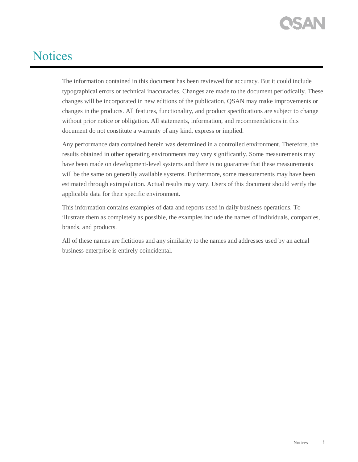## <span id="page-2-0"></span>**Notices**

The information contained in this document has been reviewed for accuracy. But it could include typographical errors or technical inaccuracies. Changes are made to the document periodically. These changes will be incorporated in new editions of the publication. QSAN may make improvements or changes in the products. All features, functionality, and product specifications are subject to change without prior notice or obligation. All statements, information, and recommendations in this document do not constitute a warranty of any kind, express or implied.

Any performance data contained herein was determined in a controlled environment. Therefore, the results obtained in other operating environments may vary significantly. Some measurements may have been made on development-level systems and there is no guarantee that these measurements will be the same on generally available systems. Furthermore, some measurements may have been estimated through extrapolation. Actual results may vary. Users of this document should verify the applicable data for their specific environment.

This information contains examples of data and reports used in daily business operations. To illustrate them as completely as possible, the examples include the names of individuals, companies, brands, and products.

All of these names are fictitious and any similarity to the names and addresses used by an actual business enterprise is entirely coincidental.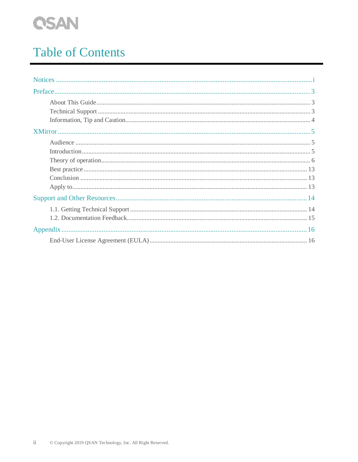

## **Table of Contents**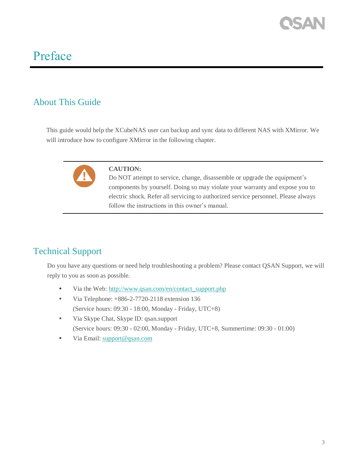## <span id="page-4-0"></span>Preface

#### <span id="page-4-1"></span>About This Guide

This guide would help the XCubeNAS user can backup and sync data to different NAS with XMirror. We will introduce how to configure XMirror in the following chapter.



#### **CAUTION:**

Do NOT attempt to service, change, disassemble or upgrade the equipment's components by yourself. Doing so may violate your warranty and expose you to electric shock. Refer all servicing to authorized service personnel. Please always follow the instructions in this owner's manual.

#### <span id="page-4-2"></span>Technical Support

Do you have any questions or need help troubleshooting a problem? Please contact QSAN Support, we will reply to you as soon as possible.

- Via the Web: [http://www.qsan.com/en/contact\\_support.php](http://www.qsan.com/en/contact_support.php)
- Via Telephone:  $+886-2-7720-2118$  extension 136 (Service hours: 09:30 - 18:00, Monday - Friday, UTC+8)
- Via Skype Chat, Skype ID: qsan.support (Service hours: 09:30 - 02:00, Monday - Friday, UTC+8, Summertime: 09:30 - 01:00)
- Via Email: [support@qsan.com](mailto:msupport@qsan.com)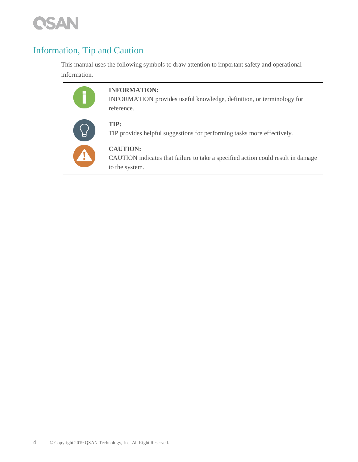

#### <span id="page-5-0"></span>Information, Tip and Caution

This manual uses the following symbols to draw attention to important safety and operational information.



#### **INFORMATION:**

INFORMATION provides useful knowledge, definition, or terminology for reference.



#### **TIP:**

TIP provides helpful suggestions for performing tasks more effectively.



#### **CAUTION:**

CAUTION indicates that failure to take a specified action could result in damage to the system.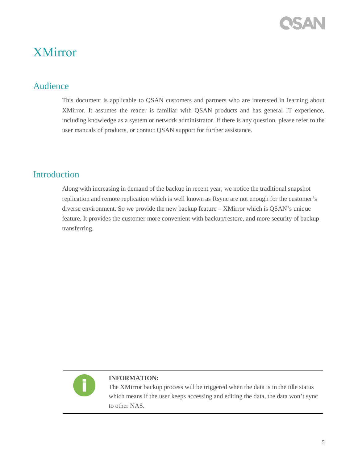### <span id="page-6-1"></span><span id="page-6-0"></span>XMirror

#### Audience

This document is applicable to QSAN customers and partners who are interested in learning about XMirror. It assumes the reader is familiar with QSAN products and has general IT experience, including knowledge as a system or network administrator. If there is any question, please refer to the user manuals of products, or contact QSAN support for further assistance.

#### <span id="page-6-2"></span>**Introduction**

Along with increasing in demand of the backup in recent year, we notice the traditional snapshot replication and remote replication which is well known as Rsync are not enough for the customer's diverse environment. So we provide the new backup feature – XMirror which is QSAN's unique feature. It provides the customer more convenient with backup/restore, and more security of backup transferring.



#### **INFORMATION:**

The XMirror backup process will be triggered when the data is in the idle status which means if the user keeps accessing and editing the data, the data won't sync to other NAS.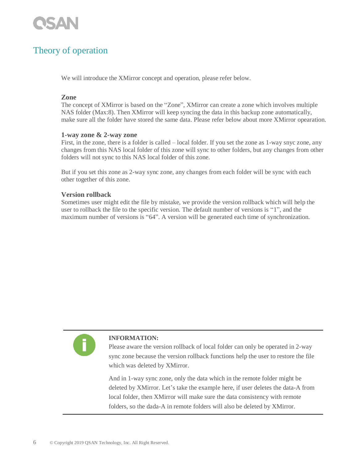

#### <span id="page-7-0"></span>Theory of operation

We will introduce the XMirror concept and operation, please refer below.

#### **Zone**

The concept of XMirror is based on the "Zone", XMirror can create a zone which involves multiple NAS folder (Max:8). Then XMirror will keep syncing the data in this backup zone automatically, make sure all the folder have stored the same data. Please refer below about more XMirror opearation.

#### **1-way zone & 2-way zone**

First, in the zone, there is a folder is called – local folder. If you set the zone as 1-way snyc zone, any changes from this NAS local folder of this zone will sync to other folders, but any changes from other folders will not sync to this NAS local folder of this zone.

But if you set this zone as 2-way sync zone, any changes from each folder will be sync with each other together of this zone.

#### **Version rollback**

Sometimes user might edit the file by mistake, we provide the version rollback which will help the user to rollback the file to the specific version. The default number of versions is "1", and the maximum number of versions is "64". A version will be generated each time of synchronization.



#### **INFORMATION:**

Please aware the version rollback of local folder can only be operated in 2-way sync zone because the version rollback functions help the user to restore the file which was deleted by XMirror.

And in 1-way sync zone, only the data which in the remote folder might be deleted by XMirror. Let's take the example here, if user deletes the data-A from local folder, then XMirror will make sure the data consistency with remote folders, so the dada-A in remote folders will also be deleted by XMirror.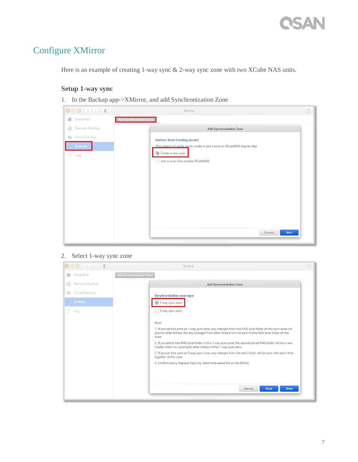#### Configure XMirror

Here is an example of creating 1-way sync & 2-way sync zone with two XCube NAS units.

#### **Setup 1-way sync**

1. In the Backup app->XMirror, and add Synchronization Zone

| <b>000 KD D</b>    | Backup                                                                       | $\circledcirc$ |
|--------------------|------------------------------------------------------------------------------|----------------|
| Snapshot           | Add Synchronization Zone                                                     |                |
| 哈<br>Remote Backup | <b>Add Synchronization Zone</b>                                              |                |
| O Cloud Backup     | <b>Xmirror Zone Creating wizard</b>                                          |                |
| Xmirror            | This wizard will quide you to create or join a zone on XCubeNAS step by step |                |
| 目<br>Log           | Create a new zone                                                            |                |
|                    | ○ Join a zone from another XCubeNAS                                          |                |
|                    |                                                                              |                |
|                    |                                                                              |                |
|                    |                                                                              |                |
|                    |                                                                              |                |
|                    |                                                                              |                |
|                    |                                                                              |                |
|                    |                                                                              |                |
|                    | <b>Next</b><br>Cancel                                                        |                |
|                    |                                                                              |                |

#### 2. Select 1-way sync zone

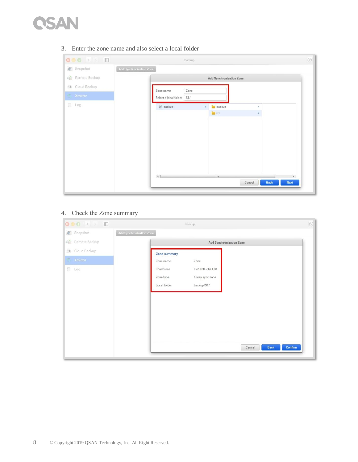

| 000 KD D                   | Backup                                                              | $^{\circ}$ |
|----------------------------|---------------------------------------------------------------------|------------|
| Snapshot<br>$\circledcirc$ | Add Synchronization Zone                                            |            |
| 禧<br>Remote Backup         | Add Synchronization Zone                                            |            |
| Cloud Backup<br>$\odot$    | Zone<br>Zone name                                                   |            |
| Xmirror<br>标               | S1/<br>Select a local folder                                        |            |
| $\Box$ Log                 | <b>backup</b><br>$\mathbf{B}$ backup<br>$\mathcal{P}$<br>$\,$       |            |
|                            | S1<br>$\,$                                                          |            |
|                            |                                                                     |            |
|                            |                                                                     |            |
|                            |                                                                     |            |
|                            |                                                                     |            |
|                            |                                                                     |            |
|                            |                                                                     |            |
|                            | $\left  \left  \right $<br>m<br>P.<br><b>Next</b><br>Cancel<br>Back |            |
|                            |                                                                     |            |

3. Enter the zone name and also select a local folder

#### 4. Check the Zone summary

| 000 KD D            | Backup                           | $\circledcirc$ |
|---------------------|----------------------------------|----------------|
| Snapshot            | Add Synchronization Zone         |                |
| P.<br>Remote Backup | <b>Add Synchronization Zone</b>  |                |
| O Cloud Backup      | Zone summary                     |                |
| <b>Xmirror</b>      | Zone<br>Zone name                |                |
| Log                 | 192.168.214.170<br>IP address    |                |
|                     | Zone type<br>1-way sync zone     |                |
|                     | backup/S1/<br>Local folder       |                |
|                     |                                  |                |
|                     |                                  |                |
|                     |                                  |                |
|                     |                                  |                |
|                     |                                  |                |
|                     |                                  |                |
|                     | Confirm<br><b>Back</b><br>Cancel |                |
|                     |                                  |                |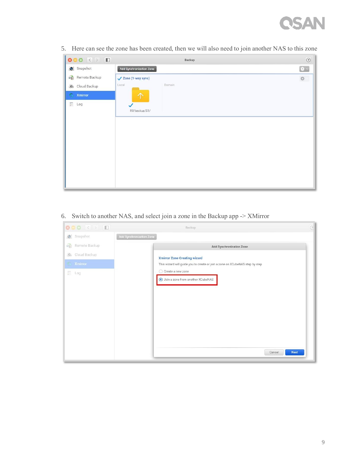# **CSAN**

| <b>000 KD</b>           | Backup                   | $\odot$               |
|-------------------------|--------------------------|-----------------------|
| Snapshot                | Add Synchronization Zone | ₩ ~                   |
| ê<br>Remote Backup      | ✔ Zone (1-way sync)      | $\frac{1}{2\sqrt{3}}$ |
| $\circ$<br>Cloud Backup | Local<br>Domain          |                       |
| G<br>Xmirror            | 个                        |                       |
| 目<br>Log                | $\checkmark$             |                       |
|                         | R0/backup/S1/            |                       |
|                         |                          |                       |
|                         |                          |                       |
|                         |                          |                       |
|                         |                          |                       |
|                         |                          |                       |
|                         |                          |                       |
|                         |                          |                       |
|                         |                          |                       |

5. Here can see the zone has been created, then we will also need to join another NAS to this zone

6. Switch to another NAS, and select join a zone in the Backup app -> XMirror

| 000 ( ) D          | <b>Backup</b>                                                                | $\overline{\texttt{G}}$ |
|--------------------|------------------------------------------------------------------------------|-------------------------|
| c' Snapshot        | <b>Add Synchronization Zone</b>                                              |                         |
| 論<br>Remote Backup | <b>Add Synchronization Zone</b>                                              |                         |
| O Cloud Backup     | <b>Xmirror Zone Creating wizard</b>                                          |                         |
| <b>Xmirror</b>     | This wizard will guide you to create or join a zone on XCubeNAS step by step |                         |
| E Log              | Create a new zone<br>O Join a zone from another XCubeNAS                     |                         |
|                    | Cancel                                                                       | <b>Next</b>             |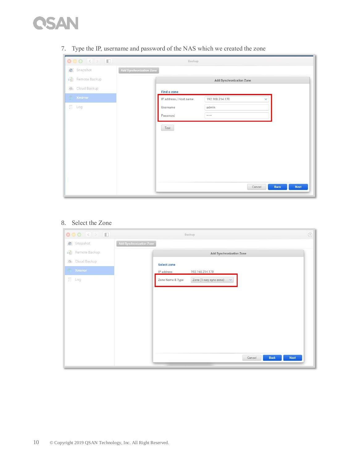

| 800 K D                 |                                 | Backup                 |                                 |                |      |
|-------------------------|---------------------------------|------------------------|---------------------------------|----------------|------|
| Snapshot                | <b>Add Synchronization Zone</b> |                        |                                 |                |      |
| ê<br>Remote Backup      |                                 |                        | <b>Add Synchronization Zone</b> |                |      |
| Cloud Backup<br>$\circ$ |                                 | Find a zone            |                                 |                |      |
| <b>Xmirror</b>          |                                 | IP address / Host name | 192.168.214.170                 | v              |      |
| 后 Log                   |                                 | Username               | admin                           |                |      |
|                         |                                 | Password               |                                 |                |      |
|                         |                                 | Test                   |                                 |                |      |
|                         |                                 |                        |                                 |                |      |
|                         |                                 |                        |                                 |                |      |
|                         |                                 |                        |                                 |                |      |
|                         |                                 |                        |                                 |                |      |
|                         |                                 |                        |                                 |                |      |
|                         |                                 |                        |                                 |                |      |
|                         |                                 |                        |                                 | Back<br>Cancel | Next |

7. Type the IP, username and password of the NAS which we created the zone

#### 8. Select the Zone

| <b>000 &lt; &gt; D</b>                              | Backup                                                     | $^{\circ}$ |
|-----------------------------------------------------|------------------------------------------------------------|------------|
| Snapshot                                            | <b>Add Synchronization Zone</b>                            |            |
| 晒<br>Remote Backup                                  | Add Synchronization Zone                                   |            |
| Cloud Backup<br>$\circ$                             | <b>Select zone</b>                                         |            |
| Xmirror<br>$\langle \overline{V_{\rm{eff}}}\rangle$ | IP address<br>192.168.214.170                              |            |
| 目<br>Log                                            | Zone Name & Type<br>Zone (1-way sync zone)<br>$\checkmark$ |            |
|                                                     |                                                            |            |
|                                                     |                                                            |            |
|                                                     |                                                            |            |
|                                                     |                                                            |            |
|                                                     |                                                            |            |
|                                                     |                                                            |            |
|                                                     |                                                            |            |
|                                                     | Cancel<br>Back<br><b>Next</b>                              |            |
|                                                     |                                                            |            |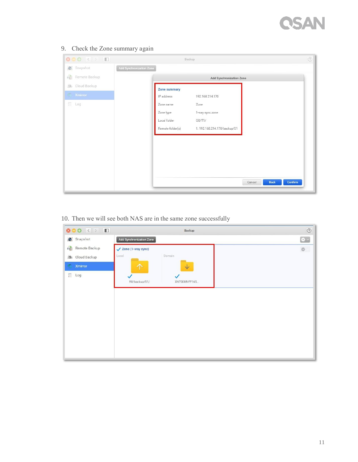# **CSAN**

9. Check the Zone summary again

| <b>000 KD</b>              |                          | Backup |                             |                                  | $^\copyright$ |
|----------------------------|--------------------------|--------|-----------------------------|----------------------------------|---------------|
| Snapshot<br>$\circledcirc$ | Add Synchronization Zone |        |                             |                                  |               |
| 暗<br>Remote Backup         |                          |        | Add Synchronization Zone    |                                  |               |
| O Cloud Backup             | Zone summary             |        |                             |                                  |               |
| Xmirror<br><b>CEN</b>      | IP address               |        | 192.168.214.170             |                                  |               |
| 目 Log                      | Zone name                |        | Zone                        |                                  |               |
|                            | Zone type                |        | 1-way sync zone             |                                  |               |
|                            | Local folder             |        | QQ/T1/                      |                                  |               |
|                            | Remote folder(s)         |        | 1.192.168.214.170/backup/S1 |                                  |               |
|                            |                          |        |                             |                                  |               |
|                            |                          |        |                             |                                  |               |
|                            |                          |        |                             |                                  |               |
|                            |                          |        |                             |                                  |               |
|                            |                          |        |                             |                                  |               |
|                            |                          |        |                             | Confirm<br>Cancel<br><b>Back</b> |               |
|                            |                          |        |                             |                                  |               |

10. Then we will see both NAS are in the same zone successfully

| <b>000 KD</b>            | Backup                         | $\odot$                |
|--------------------------|--------------------------------|------------------------|
| Snapshot                 | Add Synchronization Zone       | $\frac{1}{2}$ $\times$ |
| £<br>Remote Backup       | $\checkmark$ Zone (1-way sync) | $\frac{1}{2\sqrt{3}}$  |
| $\Omega$<br>Cloud Backup | Domain<br>Local                |                        |
| <b>Xmirror</b>           | 个<br>$\sqrt{}$                 |                        |
| E<br>Log                 |                                |                        |
|                          | R0/backup/S1/<br>XN7008R-FF165 |                        |
|                          |                                |                        |
|                          |                                |                        |
|                          |                                |                        |
|                          |                                |                        |
|                          |                                |                        |
|                          |                                |                        |
|                          |                                |                        |
|                          |                                |                        |
|                          |                                |                        |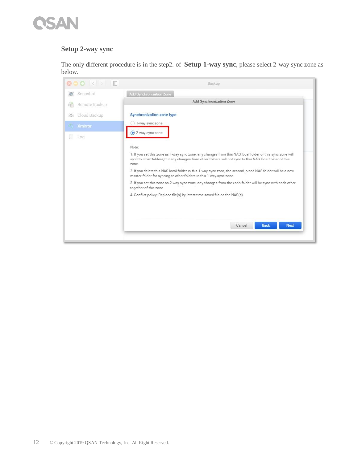#### **Setup 2-way sync**

The only different procedure is in the step2. of **Setup 1-way sync**, please select 2-way sync zone as below.

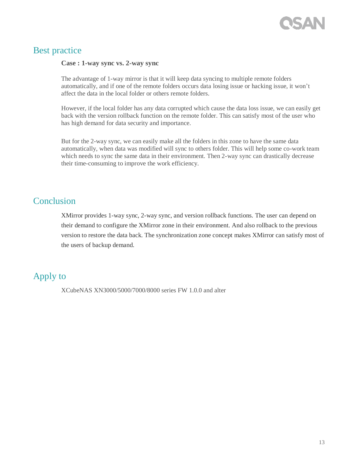

#### <span id="page-14-0"></span>Best practice

#### **Case : 1-way sync vs. 2-way sync**

The advantage of 1-way mirror is that it will keep data syncing to multiple remote folders automatically, and if one of the remote folders occurs data losing issue or hacking issue, it won't affect the data in the local folder or others remote folders.

However, if the local folder has any data corrupted which cause the data loss issue, we can easily get back with the version rollback function on the remote folder. This can satisfy most of the user who has high demand for data security and importance.

But for the 2-way sync, we can easily make all the folders in this zone to have the same data automatically, when data was modified will sync to others folder. This will help some co-work team which needs to sync the same data in their environment. Then 2-way sync can drastically decrease their time-consuming to improve the work efficiency.

#### <span id="page-14-1"></span>**Conclusion**

XMirror provides 1-way sync, 2-way sync, and version rollback functions. The user can depend on their demand to configure the XMirror zone in their environment. And also rollback to the previous version to restore the data back. The synchronization zone concept makes XMirror can satisfy most of the users of backup demand.

#### <span id="page-14-2"></span>Apply to

XCubeNAS XN3000/5000/7000/8000 series FW 1.0.0 and alter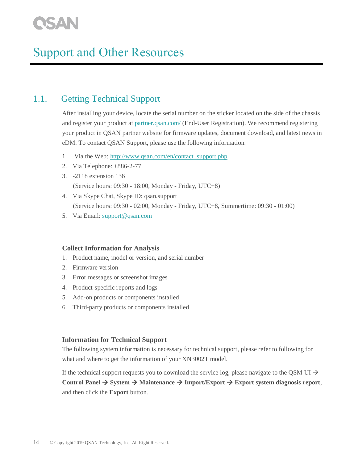## <span id="page-15-0"></span>Support and Other Resources

#### <span id="page-15-1"></span>1.1. Getting Technical Support

After installing your device, locate the serial number on the sticker located on the side of the chassis and register your product at [partner.qsan.com/](https://partner.qsan.com/) (End-User Registration). We recommend registering your product in QSAN partner website for firmware updates, document download, and latest news in eDM. To contact QSAN Support, please use the following information.

- 1. Via the Web: [http://www.qsan.com/en/contact\\_support.php](http://www.qsan.com/en/contact_support.php)
- 2. Via Telephone: +886-2-77
- 3. -2118 extension 136 (Service hours: 09:30 - 18:00, Monday - Friday, UTC+8)
- 4. Via Skype Chat, Skype ID: qsan.support (Service hours: 09:30 - 02:00, Monday - Friday, UTC+8, Summertime: 09:30 - 01:00)
- 5. Via Email: [support@qsan.com](mailto:msupport@qsan.com)

#### **Collect Information for Analysis**

- 1. Product name, model or version, and serial number
- 2. Firmware version
- 3. Error messages or screenshot images
- 4. Product-specific reports and logs
- 5. Add-on products or components installed
- 6. Third-party products or components installed

#### **Information for Technical Support**

The following system information is necessary for technical support, please refer to following for what and where to get the information of your XN3002T model.

If the technical support requests you to download the service log, please navigate to the QSM UI  $\rightarrow$ 

**Control Panel** → **System** → **Maintenance** → **Import/Export** → **Export system diagnosis report**, and then click the **Export** button.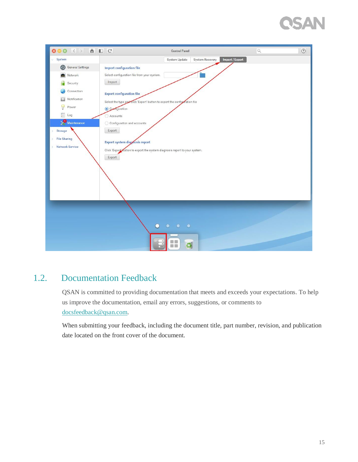# **ISAN**

| 800 < > 8 0 C                |                                             | <b>Control Panel</b>                                                        | $\hbox{\ensuremath{\mathsf{Q}}\xspace}$ | $\circledcirc$ |
|------------------------------|---------------------------------------------|-----------------------------------------------------------------------------|-----------------------------------------|----------------|
| $\vee$ System                |                                             | System Update<br>System Recovery                                            | Import / Export                         |                |
| <b>3</b> General Settings    | <b>Import configuration file</b>            |                                                                             |                                         |                |
| Network                      | Select configuration file from your system. |                                                                             |                                         |                |
| Security                     | Import                                      |                                                                             |                                         |                |
| Connection                   | <b>Export configuration file</b>            |                                                                             |                                         |                |
| Notification                 |                                             | Select the type and click 'Export' button to export the configuration file  |                                         |                |
| Power                        | Comguration                                 |                                                                             |                                         |                |
| E<br>Log                     | Accounts                                    |                                                                             |                                         |                |
| $\sum$ Maintenance           | Configuration and accounts                  |                                                                             |                                         |                |
| Storage                      | Export                                      |                                                                             |                                         |                |
| <b>File Sharing</b>          | <b>Export system diagnosis report</b>       |                                                                             |                                         |                |
| <b>Network Service</b><br>y. |                                             | Click 'Export' outton to export the system diagnosis report to your system. |                                         |                |
|                              | Export                                      |                                                                             |                                         |                |
|                              |                                             |                                                                             |                                         |                |
|                              |                                             |                                                                             |                                         |                |
|                              |                                             |                                                                             |                                         |                |
|                              |                                             |                                                                             |                                         |                |
|                              |                                             |                                                                             |                                         |                |
|                              |                                             |                                                                             |                                         |                |
|                              |                                             |                                                                             |                                         |                |
|                              |                                             | $\bullet$<br>$\bullet$<br>$\bullet$                                         |                                         |                |
|                              |                                             |                                                                             |                                         |                |
|                              |                                             |                                                                             |                                         |                |
|                              |                                             | m m                                                                         |                                         |                |

#### <span id="page-16-0"></span>1.2. Documentation Feedback

QSAN is committed to providing documentation that meets and exceeds your expectations. To help us improve the documentation, email any errors, suggestions, or comments to [docsfeedback@qsan.com.](mailto:mdocsfeedback@qsan.com)

When submitting your feedback, including the document title, part number, revision, and publication date located on the front cover of the document.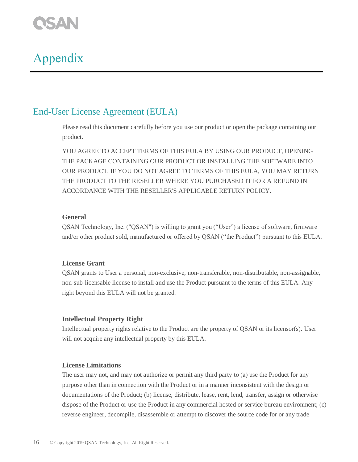# <span id="page-17-0"></span>**CSAN**<br>Appendix

#### <span id="page-17-1"></span>End-User License Agreement (EULA)

Please read this document carefully before you use our product or open the package containing our product.

YOU AGREE TO ACCEPT TERMS OF THIS EULA BY USING OUR PRODUCT, OPENING THE PACKAGE CONTAINING OUR PRODUCT OR INSTALLING THE SOFTWARE INTO OUR PRODUCT. IF YOU DO NOT AGREE TO TERMS OF THIS EULA, YOU MAY RETURN THE PRODUCT TO THE RESELLER WHERE YOU PURCHASED IT FOR A REFUND IN ACCORDANCE WITH THE RESELLER'S APPLICABLE RETURN POLICY.

#### **General**

QSAN Technology, Inc. ("QSAN") is willing to grant you ("User") a license of software, firmware and/or other product sold, manufactured or offered by QSAN ("the Product") pursuant to this EULA.

#### **License Grant**

QSAN grants to User a personal, non-exclusive, non-transferable, non-distributable, non-assignable, non-sub-licensable license to install and use the Product pursuant to the terms of this EULA. Any right beyond this EULA will not be granted.

#### **Intellectual Property Right**

Intellectual property rights relative to the Product are the property of QSAN or its licensor(s). User will not acquire any intellectual property by this EULA.

#### **License Limitations**

The user may not, and may not authorize or permit any third party to (a) use the Product for any purpose other than in connection with the Product or in a manner inconsistent with the design or documentations of the Product; (b) license, distribute, lease, rent, lend, transfer, assign or otherwise dispose of the Product or use the Product in any commercial hosted or service bureau environment; (c) reverse engineer, decompile, disassemble or attempt to discover the source code for or any trade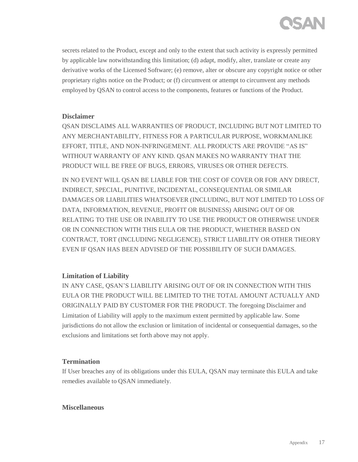

secrets related to the Product, except and only to the extent that such activity is expressly permitted by applicable law notwithstanding this limitation; (d) adapt, modify, alter, translate or create any derivative works of the Licensed Software; (e) remove, alter or obscure any copyright notice or other proprietary rights notice on the Product; or (f) circumvent or attempt to circumvent any methods employed by QSAN to control access to the components, features or functions of the Product.

#### **Disclaimer**

QSAN DISCLAIMS ALL WARRANTIES OF PRODUCT, INCLUDING BUT NOT LIMITED TO ANY MERCHANTABILITY, FITNESS FOR A PARTICULAR PURPOSE, WORKMANLIKE EFFORT, TITLE, AND NON-INFRINGEMENT. ALL PRODUCTS ARE PROVIDE "AS IS" WITHOUT WARRANTY OF ANY KIND. QSAN MAKES NO WARRANTY THAT THE PRODUCT WILL BE FREE OF BUGS, ERRORS, VIRUSES OR OTHER DEFECTS.

IN NO EVENT WILL QSAN BE LIABLE FOR THE COST OF COVER OR FOR ANY DIRECT, INDIRECT, SPECIAL, PUNITIVE, INCIDENTAL, CONSEQUENTIAL OR SIMILAR DAMAGES OR LIABILITIES WHATSOEVER (INCLUDING, BUT NOT LIMITED TO LOSS OF DATA, INFORMATION, REVENUE, PROFIT OR BUSINESS) ARISING OUT OF OR RELATING TO THE USE OR INABILITY TO USE THE PRODUCT OR OTHERWISE UNDER OR IN CONNECTION WITH THIS EULA OR THE PRODUCT, WHETHER BASED ON CONTRACT, TORT (INCLUDING NEGLIGENCE), STRICT LIABILITY OR OTHER THEORY EVEN IF QSAN HAS BEEN ADVISED OF THE POSSIBILITY OF SUCH DAMAGES.

#### **Limitation of Liability**

IN ANY CASE, QSAN'S LIABILITY ARISING OUT OF OR IN CONNECTION WITH THIS EULA OR THE PRODUCT WILL BE LIMITED TO THE TOTAL AMOUNT ACTUALLY AND ORIGINALLY PAID BY CUSTOMER FOR THE PRODUCT. The foregoing Disclaimer and Limitation of Liability will apply to the maximum extent permitted by applicable law. Some jurisdictions do not allow the exclusion or limitation of incidental or consequential damages, so the exclusions and limitations set forth above may not apply.

#### **Termination**

If User breaches any of its obligations under this EULA, QSAN may terminate this EULA and take remedies available to QSAN immediately.

#### **Miscellaneous**